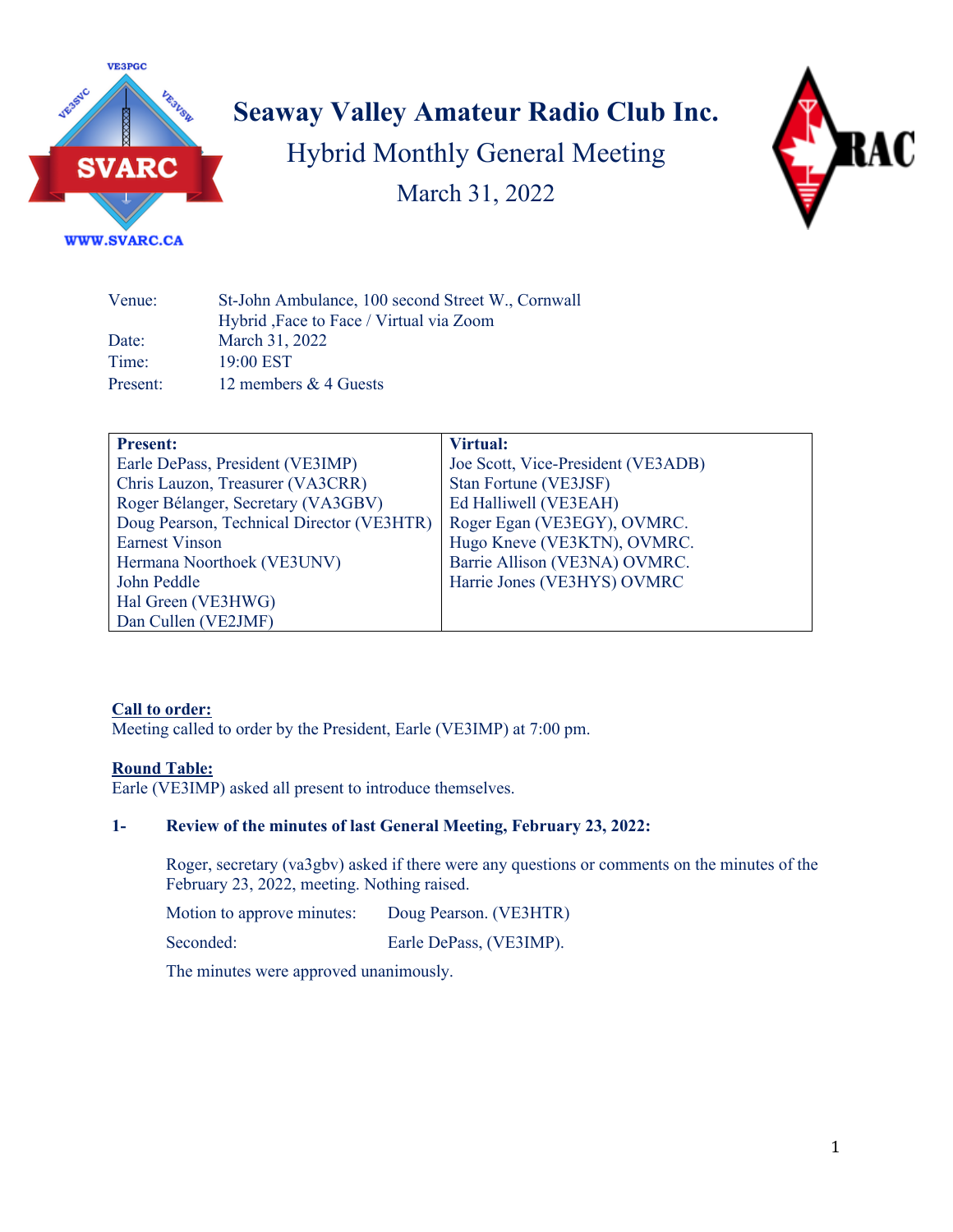

# **Seaway Valley Amateur Radio Club Inc.** Hybrid Monthly General Meeting March 31, 2022



| St-John Ambulance, 100 second Street W., Cornwall<br>Hybrid, Face to Face / Virtual via Zoom |
|----------------------------------------------------------------------------------------------|
| March 31, 2022                                                                               |
| 19:00 EST                                                                                    |
| 12 members & 4 Guests                                                                        |
|                                                                                              |

| <b>Present:</b>                           | <b>Virtual:</b>                    |
|-------------------------------------------|------------------------------------|
| Earle DePass, President (VE3IMP)          | Joe Scott, Vice-President (VE3ADB) |
| Chris Lauzon, Treasurer (VA3CRR)          | Stan Fortune (VE3JSF)              |
| Roger Bélanger, Secretary (VA3GBV)        | Ed Halliwell (VE3EAH)              |
| Doug Pearson, Technical Director (VE3HTR) | Roger Egan (VE3EGY), OVMRC.        |
| <b>Earnest Vinson</b>                     | Hugo Kneve (VE3KTN), OVMRC.        |
| Hermana Noorthoek (VE3UNV)                | Barrie Allison (VE3NA) OVMRC.      |
| John Peddle                               | Harrie Jones (VE3HYS) OVMRC        |
| Hal Green (VE3HWG)                        |                                    |
| Dan Cullen (VE2JMF)                       |                                    |

#### **Call to order:**

Meeting called to order by the President, Earle (VE3IMP) at 7:00 pm.

#### **Round Table:**

Earle (VE3IMP) asked all present to introduce themselves.

#### **1- Review of the minutes of last General Meeting, February 23, 2022:**

Roger, secretary (va3gbv) asked if there were any questions or comments on the minutes of the February 23, 2022, meeting. Nothing raised.

Motion to approve minutes: Doug Pearson. (VE3HTR)

Seconded: Earle DePass, (VE3IMP).

The minutes were approved unanimously.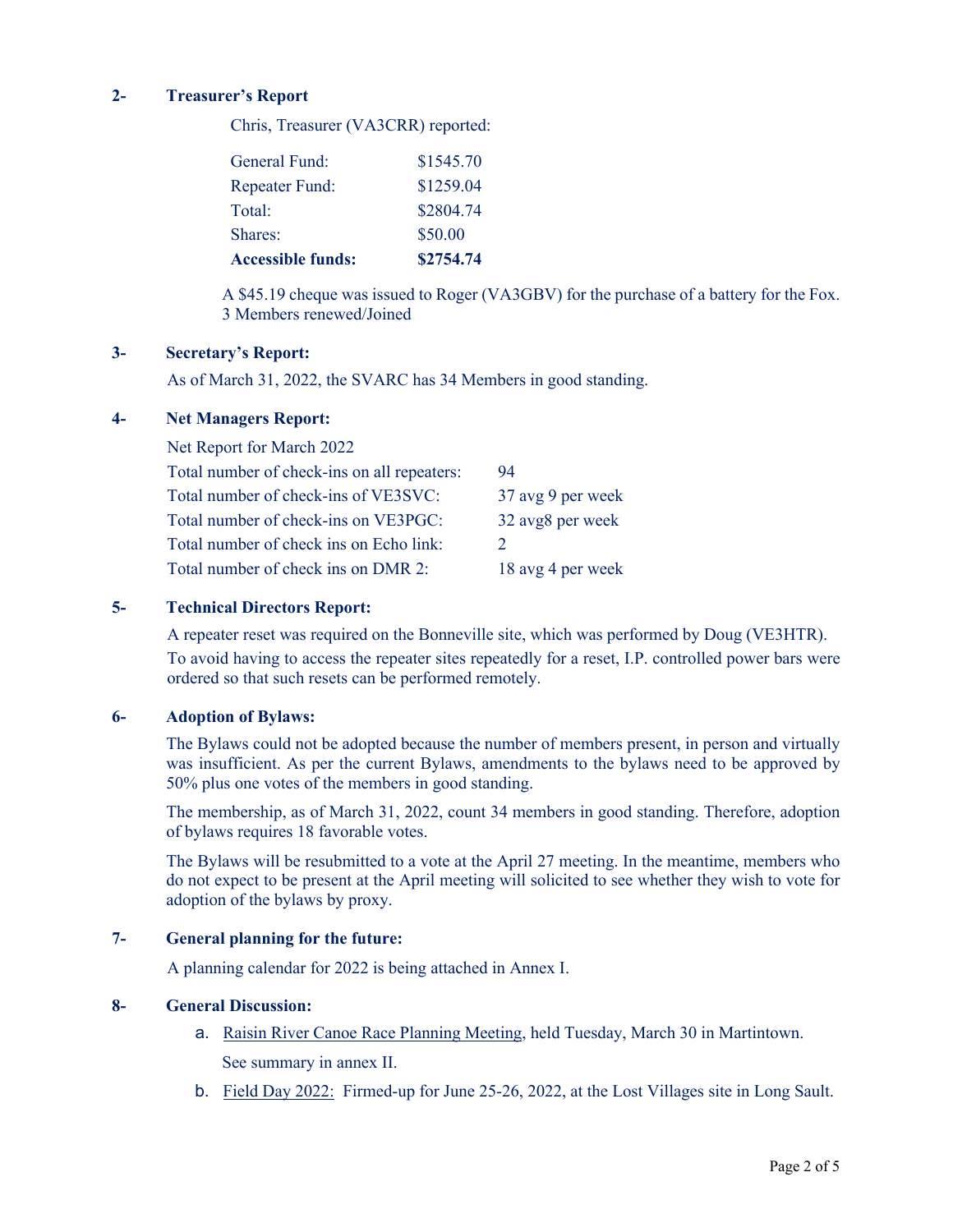#### **2- Treasurer's Report**

Chris, Treasurer (VA3CRR) reported:

| <b>Accessible funds:</b> | \$2754.74 |
|--------------------------|-----------|
| Shares:                  | \$50.00   |
| Total:                   | \$2804.74 |
| Repeater Fund:           | \$1259.04 |
| General Fund:            | \$1545.70 |

A \$45.19 cheque was issued to Roger (VA3GBV) for the purchase of a battery for the Fox. 3 Members renewed/Joined

#### **3- Secretary's Report:**

As of March 31, 2022, the SVARC has 34 Members in good standing.

#### **4- Net Managers Report:**

| Net Report for March 2022                   |                       |
|---------------------------------------------|-----------------------|
| Total number of check-ins on all repeaters: | 94                    |
| Total number of check-ins of VE3SVC:        | 37 avg 9 per week     |
| Total number of check-ins on VE3PGC:        | 32 avg8 per week      |
| Total number of check ins on Echo link:     | $\mathcal{D}_{\cdot}$ |
| Total number of check ins on DMR 2:         | 18 avg 4 per week     |

#### **5- Technical Directors Report:**

A repeater reset was required on the Bonneville site, which was performed by Doug (VE3HTR). To avoid having to access the repeater sites repeatedly for a reset, I.P. controlled power bars were ordered so that such resets can be performed remotely.

#### **6- Adoption of Bylaws:**

The Bylaws could not be adopted because the number of members present, in person and virtually was insufficient. As per the current Bylaws, amendments to the bylaws need to be approved by 50% plus one votes of the members in good standing.

The membership, as of March 31, 2022, count 34 members in good standing. Therefore, adoption of bylaws requires 18 favorable votes.

The Bylaws will be resubmitted to a vote at the April 27 meeting. In the meantime, members who do not expect to be present at the April meeting will solicited to see whether they wish to vote for adoption of the bylaws by proxy.

#### **7- General planning for the future:**

A planning calendar for 2022 is being attached in Annex I.

#### **8- General Discussion:**

- a. Raisin River Canoe Race Planning Meeting, held Tuesday, March 30 in Martintown. See summary in annex II.
- b. Field Day 2022: Firmed-up for June 25-26, 2022, at the Lost Villages site in Long Sault.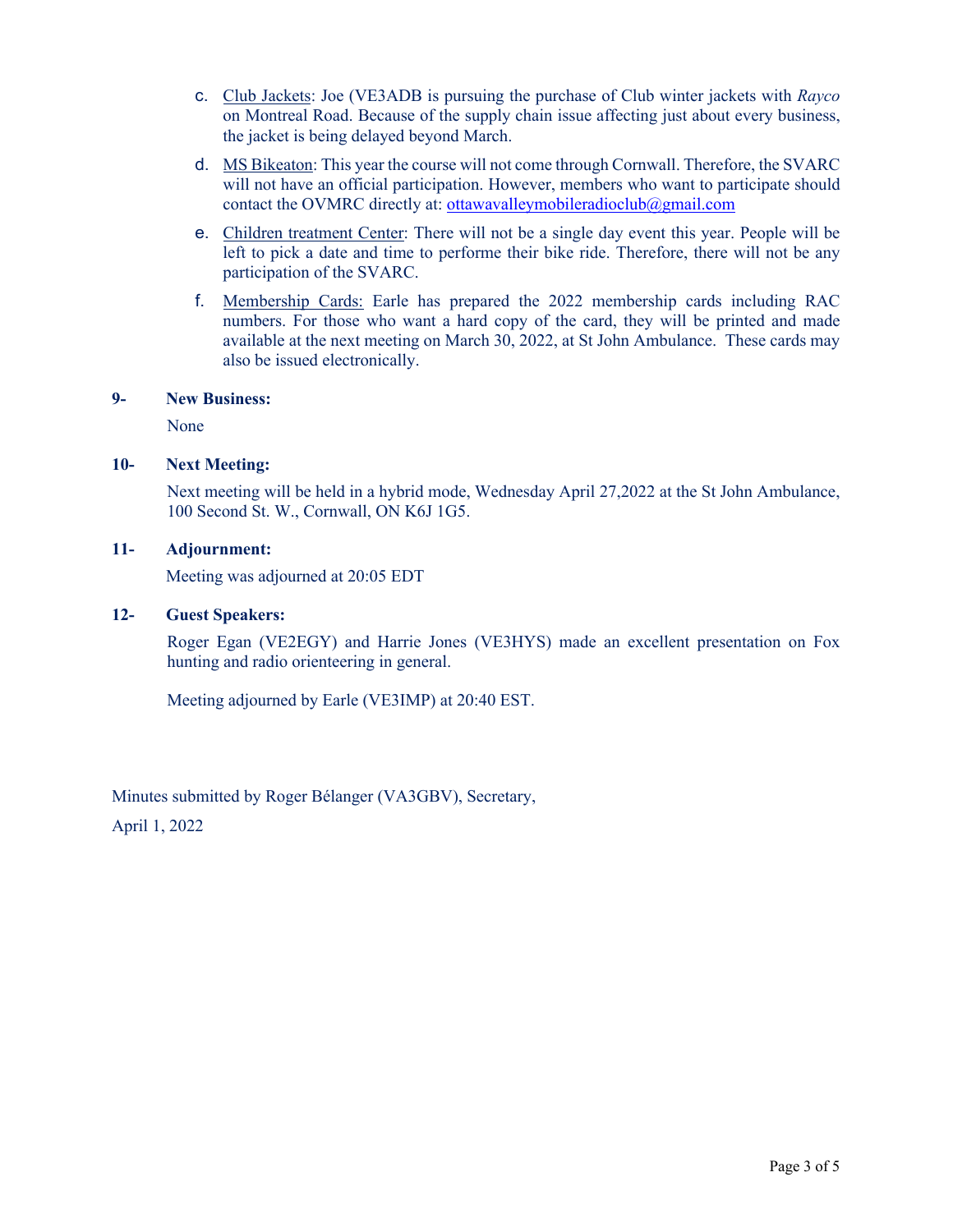- c. Club Jackets: Joe (VE3ADB is pursuing the purchase of Club winter jackets with *Rayco*  on Montreal Road. Because of the supply chain issue affecting just about every business, the jacket is being delayed beyond March.
- d. MS Bikeaton: This year the course will not come through Cornwall. Therefore, the SVARC will not have an official participation. However, members who want to participate should contact the OVMRC directly at: ottawavalleymobileradioclub@gmail.com
- e. Children treatment Center: There will not be a single day event this year. People will be left to pick a date and time to performe their bike ride. Therefore, there will not be any participation of the SVARC.
- f. Membership Cards: Earle has prepared the 2022 membership cards including RAC numbers. For those who want a hard copy of the card, they will be printed and made available at the next meeting on March 30, 2022, at St John Ambulance. These cards may also be issued electronically.

#### **9- New Business:**

None

#### **10- Next Meeting:**

Next meeting will be held in a hybrid mode, Wednesday April 27,2022 at the St John Ambulance, 100 Second St. W., Cornwall, ON K6J 1G5.

#### **11- Adjournment:**

Meeting was adjourned at 20:05 EDT

#### **12- Guest Speakers:**

Roger Egan (VE2EGY) and Harrie Jones (VE3HYS) made an excellent presentation on Fox hunting and radio orienteering in general.

Meeting adjourned by Earle (VE3IMP) at 20:40 EST.

Minutes submitted by Roger Bélanger (VA3GBV), Secretary, April 1, 2022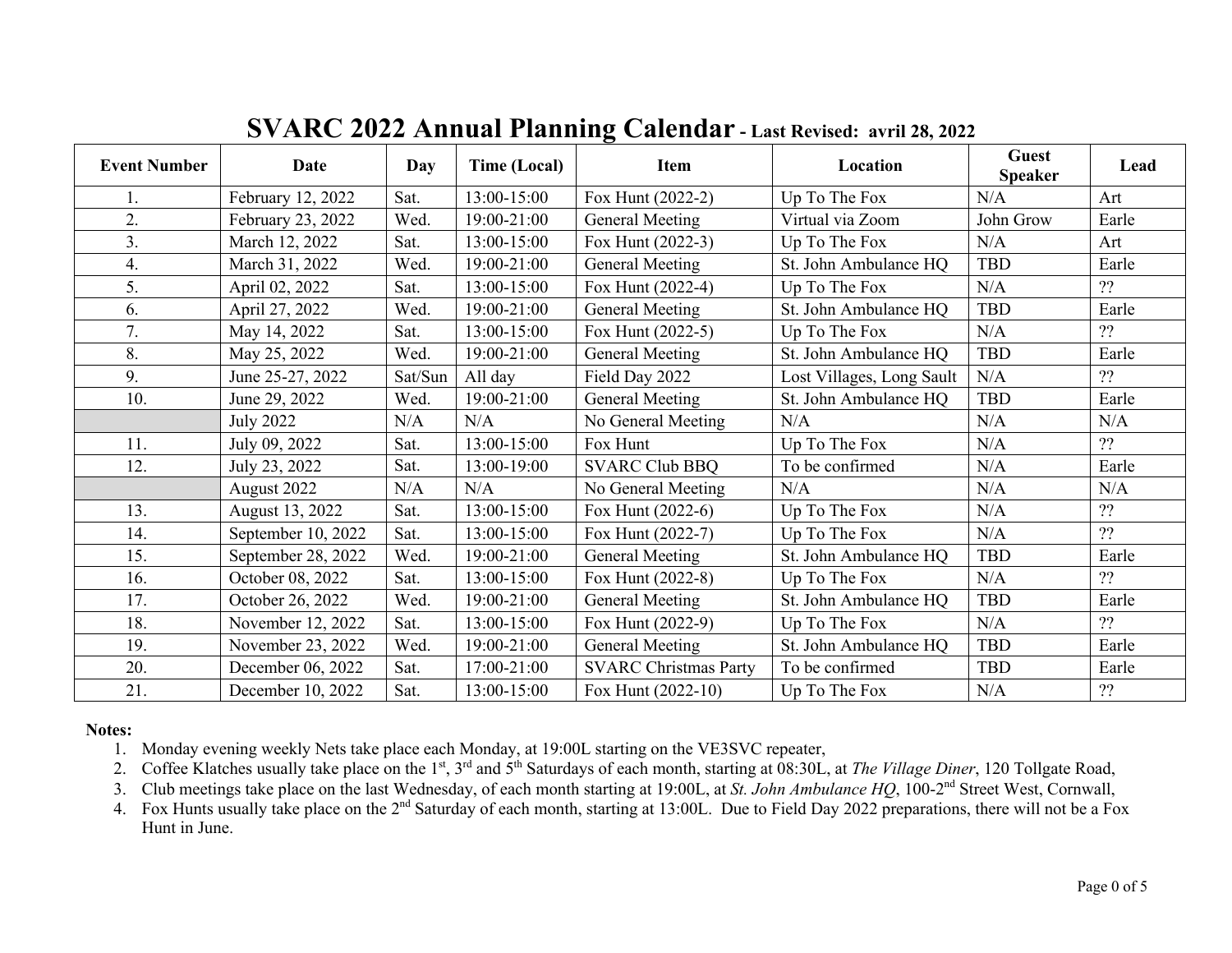| <b>Event Number</b> | Date               | Day     | <b>Time (Local)</b> | Item                         | Location                  | <b>Guest</b><br><b>Speaker</b> | Lead  |
|---------------------|--------------------|---------|---------------------|------------------------------|---------------------------|--------------------------------|-------|
|                     | February 12, 2022  | Sat.    | 13:00-15:00         | Fox Hunt (2022-2)            | Up To The Fox             | N/A                            | Art   |
| 2.                  | February 23, 2022  | Wed.    | 19:00-21:00         | <b>General Meeting</b>       | Virtual via Zoom          | John Grow                      | Earle |
| 3.                  | March 12, 2022     | Sat.    | 13:00-15:00         | Fox Hunt (2022-3)            | Up To The Fox             | N/A                            | Art   |
| 4.                  | March 31, 2022     | Wed.    | 19:00-21:00         | General Meeting              | St. John Ambulance HQ     | <b>TBD</b>                     | Earle |
| 5.                  | April 02, 2022     | Sat.    | 13:00-15:00         | Fox Hunt (2022-4)            | Up To The Fox             | N/A                            | ??    |
| 6.                  | April 27, 2022     | Wed.    | 19:00-21:00         | General Meeting              | St. John Ambulance HQ     | <b>TBD</b>                     | Earle |
| 7.                  | May 14, 2022       | Sat.    | 13:00-15:00         | Fox Hunt (2022-5)            | Up To The Fox             | N/A                            | ??    |
| 8.                  | May 25, 2022       | Wed.    | 19:00-21:00         | General Meeting              | St. John Ambulance HQ     | <b>TBD</b>                     | Earle |
| 9.                  | June 25-27, 2022   | Sat/Sun | All day             | Field Day 2022               | Lost Villages, Long Sault | N/A                            | ??    |
| 10.                 | June 29, 2022      | Wed.    | 19:00-21:00         | General Meeting              | St. John Ambulance HQ     | <b>TBD</b>                     | Earle |
|                     | <b>July 2022</b>   | N/A     | N/A                 | No General Meeting           | N/A                       | N/A                            | N/A   |
| 11.                 | July 09, 2022      | Sat.    | 13:00-15:00         | Fox Hunt                     | Up To The Fox             | N/A                            | ??    |
| 12.                 | July 23, 2022      | Sat.    | 13:00-19:00         | <b>SVARC Club BBQ</b>        | To be confirmed           | N/A                            | Earle |
|                     | August 2022        | N/A     | N/A                 | No General Meeting           | N/A                       | N/A                            | N/A   |
| 13.                 | August 13, 2022    | Sat.    | 13:00-15:00         | Fox Hunt $(2022-6)$          | Up To The Fox             | N/A                            | ??    |
| 14.                 | September 10, 2022 | Sat.    | 13:00-15:00         | Fox Hunt (2022-7)            | Up To The Fox             | N/A                            | ??    |
| 15.                 | September 28, 2022 | Wed.    | 19:00-21:00         | General Meeting              | St. John Ambulance HQ     | <b>TBD</b>                     | Earle |
| 16.                 | October 08, 2022   | Sat.    | 13:00-15:00         | Fox Hunt (2022-8)            | Up To The Fox             | N/A                            | ??    |
| 17.                 | October 26, 2022   | Wed.    | 19:00-21:00         | General Meeting              | St. John Ambulance HQ     | <b>TBD</b>                     | Earle |
| 18.                 | November 12, 2022  | Sat.    | 13:00-15:00         | Fox Hunt (2022-9)            | Up To The Fox             | N/A                            | ??    |
| 19.                 | November 23, 2022  | Wed.    | 19:00-21:00         | General Meeting              | St. John Ambulance HQ     | <b>TBD</b>                     | Earle |
| 20.                 | December 06, 2022  | Sat.    | 17:00-21:00         | <b>SVARC Christmas Party</b> | To be confirmed           | <b>TBD</b>                     | Earle |
| 21.                 | December 10, 2022  | Sat.    | 13:00-15:00         | Fox Hunt $(2022-10)$         | Up To The Fox             | N/A                            | ??    |

## **SVARC 2022 Annual Planning Calendar - Last Revised: avril 28, 2022**

#### **Notes:**

1. Monday evening weekly Nets take place each Monday, at 19:00L starting on the VE3SVC repeater,

2. Coffee Klatches usually take place on the 1<sup>st</sup>, 3<sup>rd</sup> and 5<sup>th</sup> Saturdays of each month, starting at 08:30L, at *The Village Diner*, 120 Tollgate Road,

3. Club meetings take place on the last Wednesday, of each month starting at 19:00L, at *St. John Ambulance HQ*, 100-2nd Street West, Cornwall,

4. Fox Hunts usually take place on the 2<sup>nd</sup> Saturday of each month, starting at 13:00L. Due to Field Day 2022 preparations, there will not be a Fox Hunt in June.